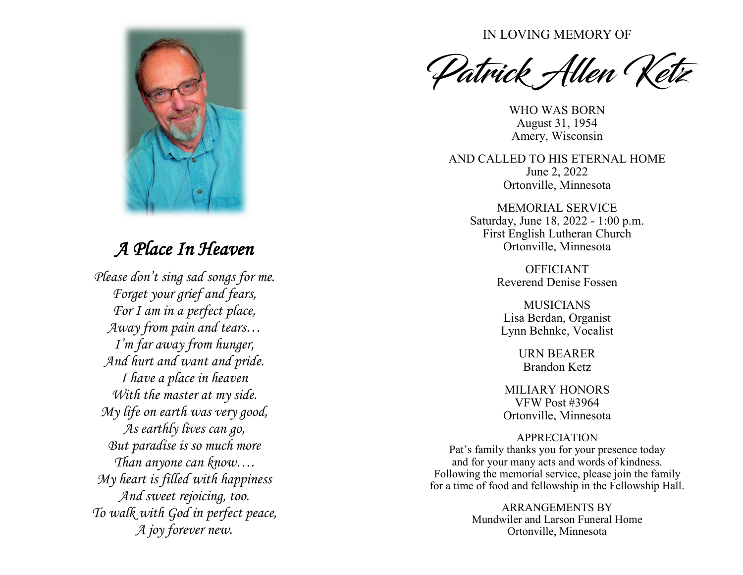

## *A Place In Heaven*

*Please don't sing sad songs for me. Forget your grief and fears, For I am in a perfect place, Away from pain and tears… I'm far away from hunger, And hurt and want and pride. I have a place in heaven With the master at my side. My life on earth was very good, As earthly lives can go, But paradise is so much more Than anyone can know…. My heart is filled with happiness And sweet rejoicing, too. To walk with God in perfect peace, A joy forever new.*

IN LOVING MEMORY OF

Patrick Allen Ketz

WHO WAS BORN August 31, 1954 Amery, Wisconsin

AND CALLED TO HIS ETERNAL HOME June 2, 2022 Ortonville, Minnesota

MEMORIAL SERVICE Saturday, June 18, 2022 - 1:00 p.m. First English Lutheran Church Ortonville, Minnesota

> OFFICIANT Reverend Denise Fossen

MUSICIANS Lisa Berdan, Organist Lynn Behnke, Vocalist

> URN BEARER Brandon Ketz

MILIARY HONORS VFW Post #3964 Ortonville, Minnesota

APPRECIATION

Pat 's family thanks you for your presence today and for your many acts and words of kindness. Following the memorial service, please join the family for a time of food and fellowship in the Fellowship Hall.

> ARRANGEMENTS BY Mundwiler and Larson Funeral Home Ortonville, Minnesota